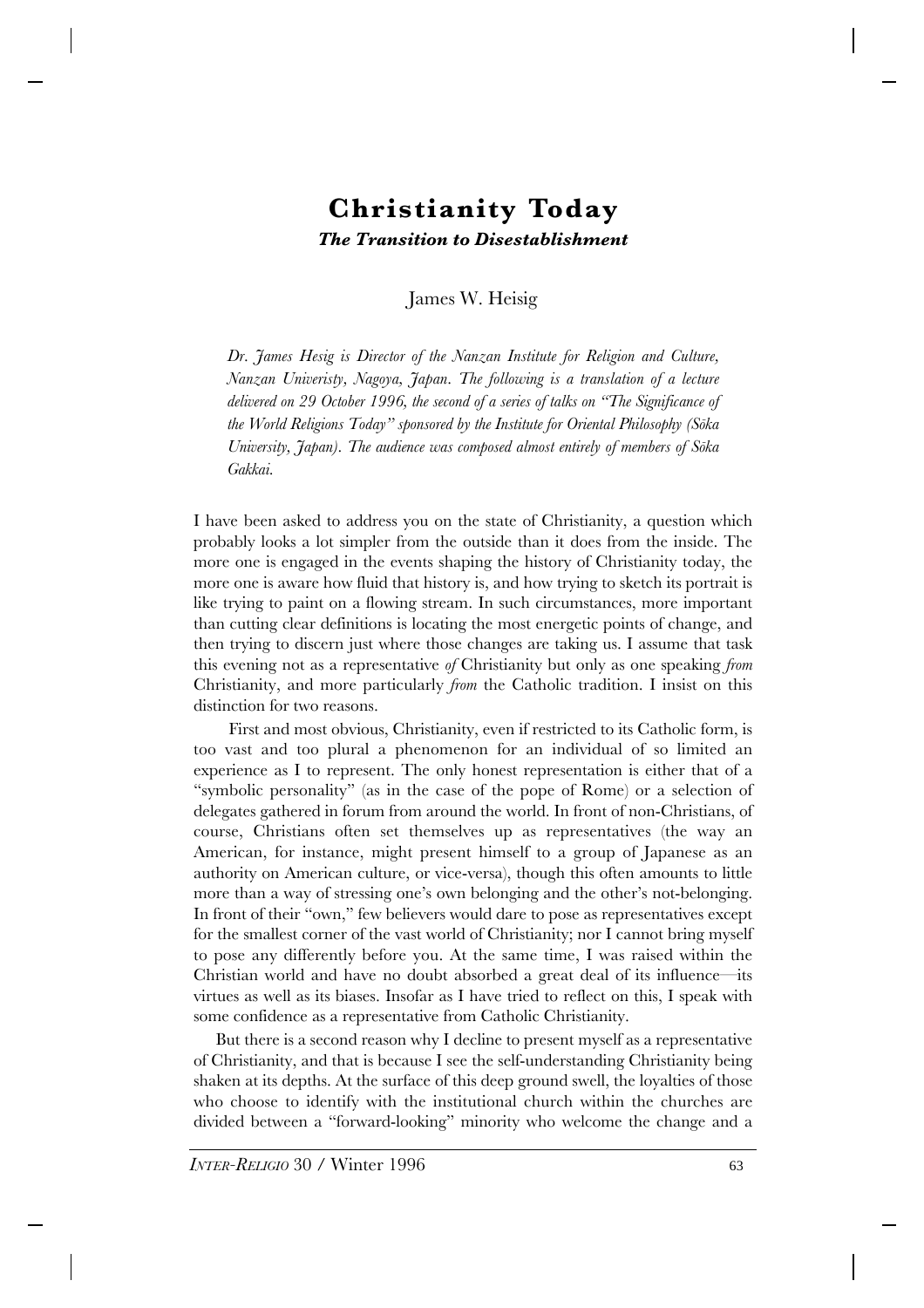# **Christianity Today** *The Transition to Disestablishment*

James W. Heisig

*Dr. James Hesig is Director of the Nanzan Institute for Religion and Culture, Nanzan Univeristy, Nagoya, Japan. The following is a translation of a lecture delivered on 29 October 1996, the second of a series of talks on "The Significance of the World Religions Today" sponsored by the Institute for Oriental Philosophy (Sõka University, Japan). The audience was composed almost entirely of members of Sõka Gakkai.*

I have been asked to address you on the state of Christianity, a question which probably looks a lot simpler from the outside than it does from the inside. The more one is engaged in the events shaping the history of Christianity today, the more one is aware how fluid that history is, and how trying to sketch its portrait is like trying to paint on a flowing stream. In such circumstances, more important than cutting clear definitions is locating the most energetic points of change, and then trying to discern just where those changes are taking us. I assume that task this evening not as a representative *of* Christianity but only as one speaking *from* Christianity, and more particularly *from* the Catholic tradition. I insist on this distinction for two reasons.

First and most obvious, Christianity, even if restricted to its Catholic form, is too vast and too plural a phenomenon for an individual of so limited an experience as I to represent. The only honest representation is either that of a "symbolic personality" (as in the case of the pope of Rome) or a selection of delegates gathered in forum from around the world. In front of non-Christians, of course, Christians often set themselves up as representatives (the way an American, for instance, might present himself to a group of Japanese as an authority on American culture, or vice-versa), though this often amounts to little more than a way of stressing one's own belonging and the other's not-belonging. In front of their "own," few believers would dare to pose as representatives except for the smallest corner of the vast world of Christianity; nor I cannot bring myself to pose any differently before you. At the same time, I was raised within the Christian world and have no doubt absorbed a great deal of its influence—its virtues as well as its biases. Insofar as I have tried to reflect on this, I speak with some confidence as a representative from Catholic Christianity.

But there is a second reason why I decline to present myself as a representative of Christianity, and that is because I see the self-understanding Christianity being shaken at its depths. At the surface of this deep ground swell, the loyalties of those who choose to identify with the institutional church within the churches are divided between a "forward-looking" minority who welcome the change and a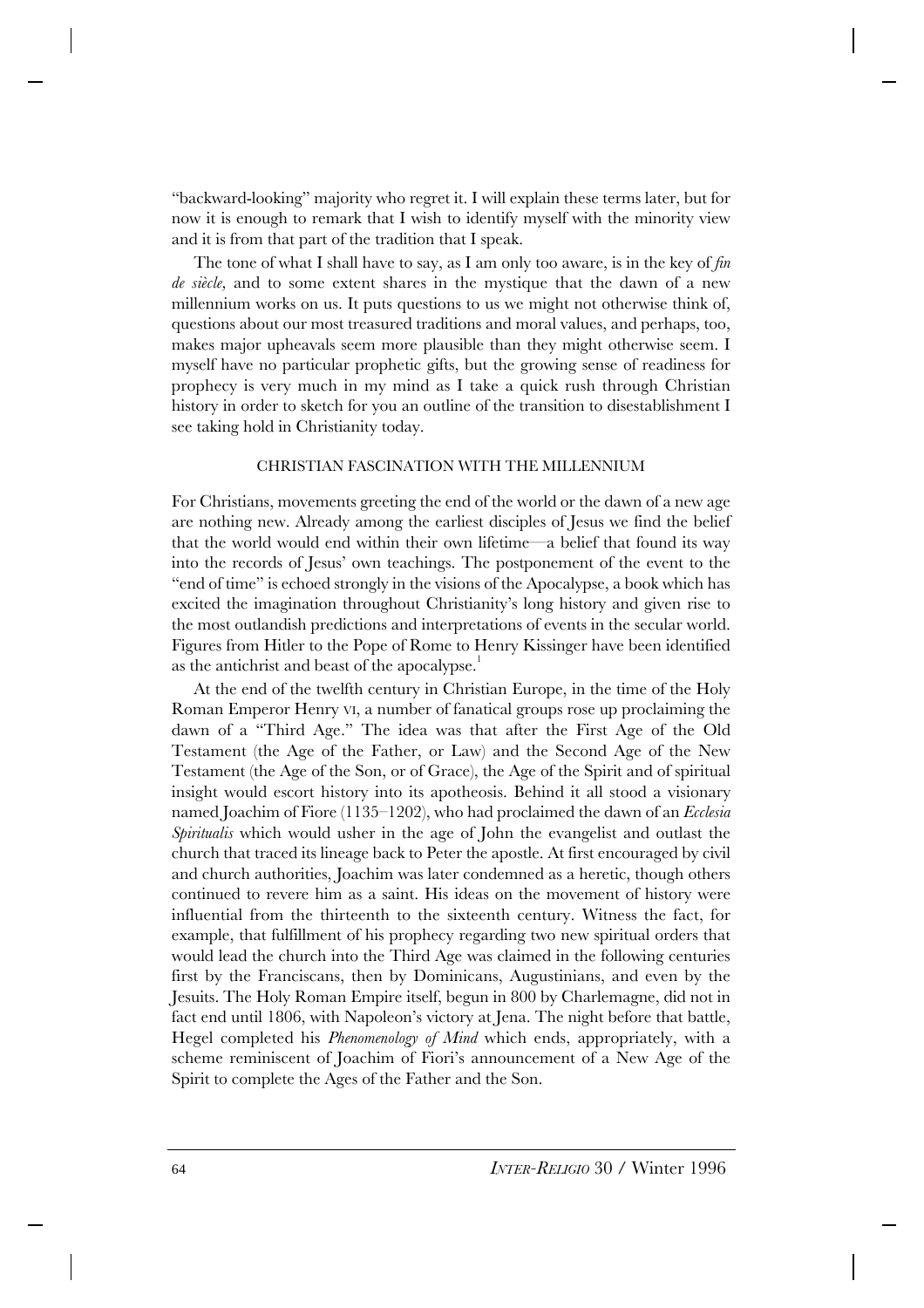"backward-looking" majority who regret it. I will explain these terms later, but for now it is enough to remark that I wish to identify myself with the minority view and it is from that part of the tradition that I speak.

The tone of what I shall have to say, as I am only too aware, is in the key of *fin de siècle,* and to some extent shares in the mystique that the dawn of a new millennium works on us. It puts questions to us we might not otherwise think of, questions about our most treasured traditions and moral values, and perhaps, too, makes major upheavals seem more plausible than they might otherwise seem. I myself have no particular prophetic gifts, but the growing sense of readiness for prophecy is very much in my mind as I take a quick rush through Christian history in order to sketch for you an outline of the transition to disestablishment I see taking hold in Christianity today.

## CHRISTIAN FASCINATION WITH THE MILLENNIUM

For Christians, movements greeting the end of the world or the dawn of a new age are nothing new. Already among the earliest disciples of Jesus we find the belief that the world would end within their own lifetime—a belief that found its way into the records of Jesus' own teachings. The postponement of the event to the "end of time" is echoed strongly in the visions of the Apocalypse, a book which has excited the imagination throughout Christianity's long history and given rise to the most outlandish predictions and interpretations of events in the secular world. Figures from Hitler to the Pope of Rome to Henry Kissinger have been identified as the antichrist and beast of the apocalypse.<sup>1</sup>

At the end of the twelfth century in Christian Europe, in the time of the Holy Roman Emperor Henry VI, a number of fanatical groups rose up proclaiming the dawn of a "Third Age." The idea was that after the First Age of the Old Testament (the Age of the Father, or Law) and the Second Age of the New Testament (the Age of the Son, or of Grace), the Age of the Spirit and of spiritual insight would escort history into its apotheosis. Behind it all stood a visionary named Joachim of Fiore (1135–1202), who had proclaimed the dawn of an *Ecclesia Spiritualis* which would usher in the age of John the evangelist and outlast the church that traced its lineage back to Peter the apostle. At first encouraged by civil and church authorities, Joachim was later condemned as a heretic, though others continued to revere him as a saint. His ideas on the movement of history were influential from the thirteenth to the sixteenth century. Witness the fact, for example, that fulfillment of his prophecy regarding two new spiritual orders that would lead the church into the Third Age was claimed in the following centuries first by the Franciscans, then by Dominicans, Augustinians, and even by the Jesuits. The Holy Roman Empire itself, begun in 800 by Charlemagne, did not in fact end until 1806, with Napoleon's victory at Jena. The night before that battle, Hegel completed his *Phenomenology of Mind* which ends, appropriately, with a scheme reminiscent of Joachim of Fiori's announcement of a New Age of the Spirit to complete the Ages of the Father and the Son.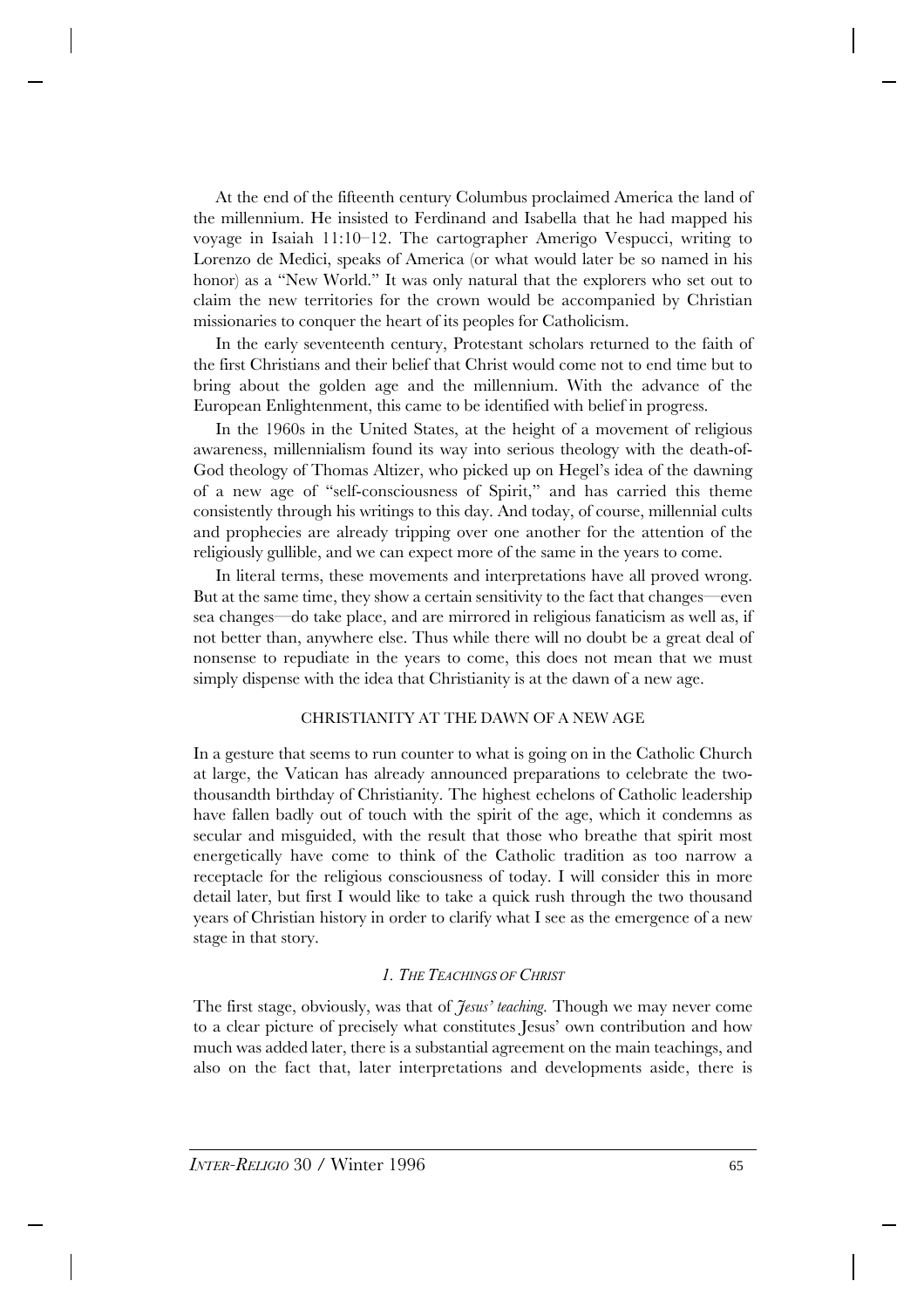At the end of the fifteenth century Columbus proclaimed America the land of the millennium. He insisted to Ferdinand and Isabella that he had mapped his voyage in Isaiah 11:10–12. The cartographer Amerigo Vespucci, writing to Lorenzo de Medici, speaks of America (or what would later be so named in his honor) as a "New World." It was only natural that the explorers who set out to claim the new territories for the crown would be accompanied by Christian missionaries to conquer the heart of its peoples for Catholicism.

In the early seventeenth century, Protestant scholars returned to the faith of the first Christians and their belief that Christ would come not to end time but to bring about the golden age and the millennium. With the advance of the European Enlightenment, this came to be identified with belief in progress.

In the 1960s in the United States, at the height of a movement of religious awareness, millennialism found its way into serious theology with the death-of-God theology of Thomas Altizer, who picked up on Hegel's idea of the dawning of a new age of "self-consciousness of Spirit," and has carried this theme consistently through his writings to this day. And today, of course, millennial cults and prophecies are already tripping over one another for the attention of the religiously gullible, and we can expect more of the same in the years to come.

In literal terms, these movements and interpretations have all proved wrong. But at the same time, they show a certain sensitivity to the fact that changes—even sea changes—do take place, and are mirrored in religious fanaticism as well as, if not better than, anywhere else. Thus while there will no doubt be a great deal of nonsense to repudiate in the years to come, this does not mean that we must simply dispense with the idea that Christianity is at the dawn of a new age.

# CHRISTIANITY AT THE DAWN OF A NEW AGE

In a gesture that seems to run counter to what is going on in the Catholic Church at large, the Vatican has already announced preparations to celebrate the twothousandth birthday of Christianity. The highest echelons of Catholic leadership have fallen badly out of touch with the spirit of the age, which it condemns as secular and misguided, with the result that those who breathe that spirit most energetically have come to think of the Catholic tradition as too narrow a receptacle for the religious consciousness of today. I will consider this in more detail later, but first I would like to take a quick rush through the two thousand years of Christian history in order to clarify what I see as the emergence of a new stage in that story.

# *1. THE TEACHINGS OF CHRIST*

The first stage, obviously, was that of *Jesus' teaching.* Though we may never come to a clear picture of precisely what constitutes Jesus' own contribution and how much was added later, there is a substantial agreement on the main teachings, and also on the fact that, later interpretations and developments aside, there is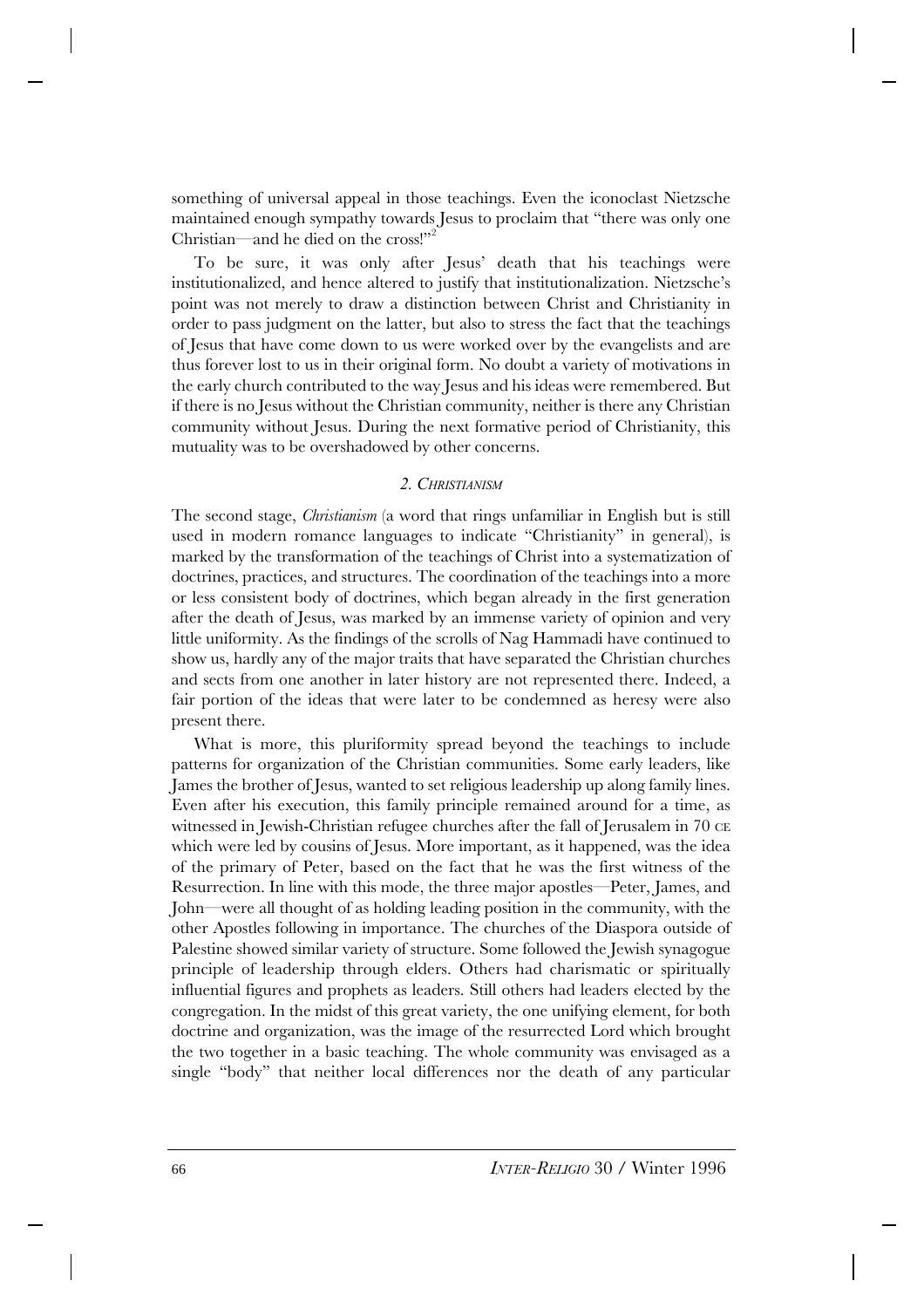something of universal appeal in those teachings. Even the iconoclast Nietzsche maintained enough sympathy towards Jesus to proclaim that "there was only one Christian—and he died on the cross!"<sup>2</sup>

To be sure, it was only after Jesus' death that his teachings were institutionalized, and hence altered to justify that institutionalization. Nietzsche's point was not merely to draw a distinction between Christ and Christianity in order to pass judgment on the latter, but also to stress the fact that the teachings of Jesus that have come down to us were worked over by the evangelists and are thus forever lost to us in their original form. No doubt a variety of motivations in the early church contributed to the way Jesus and his ideas were remembered. But if there is no Jesus without the Christian community, neither is there any Christian community without Jesus. During the next formative period of Christianity, this mutuality was to be overshadowed by other concerns.

#### *2. CHRISTIANISM*

The second stage, *Christianism* (a word that rings unfamiliar in English but is still used in modern romance languages to indicate "Christianity" in general), is marked by the transformation of the teachings of Christ into a systematization of doctrines, practices, and structures. The coordination of the teachings into a more or less consistent body of doctrines, which began already in the first generation after the death of Jesus, was marked by an immense variety of opinion and very little uniformity. As the findings of the scrolls of Nag Hammadi have continued to show us, hardly any of the major traits that have separated the Christian churches and sects from one another in later history are not represented there. Indeed, a fair portion of the ideas that were later to be condemned as heresy were also present there.

What is more, this pluriformity spread beyond the teachings to include patterns for organization of the Christian communities. Some early leaders, like James the brother of Jesus, wanted to set religious leadership up along family lines. Even after his execution, this family principle remained around for a time, as witnessed in Jewish-Christian refugee churches after the fall of Jerusalem in 70 CE which were led by cousins of Jesus. More important, as it happened, was the idea of the primary of Peter, based on the fact that he was the first witness of the Resurrection. In line with this mode, the three major apostles—Peter, James, and John—were all thought of as holding leading position in the community, with the other Apostles following in importance. The churches of the Diaspora outside of Palestine showed similar variety of structure. Some followed the Jewish synagogue principle of leadership through elders. Others had charismatic or spiritually influential figures and prophets as leaders. Still others had leaders elected by the congregation. In the midst of this great variety, the one unifying element, for both doctrine and organization, was the image of the resurrected Lord which brought the two together in a basic teaching. The whole community was envisaged as a single "body" that neither local differences nor the death of any particular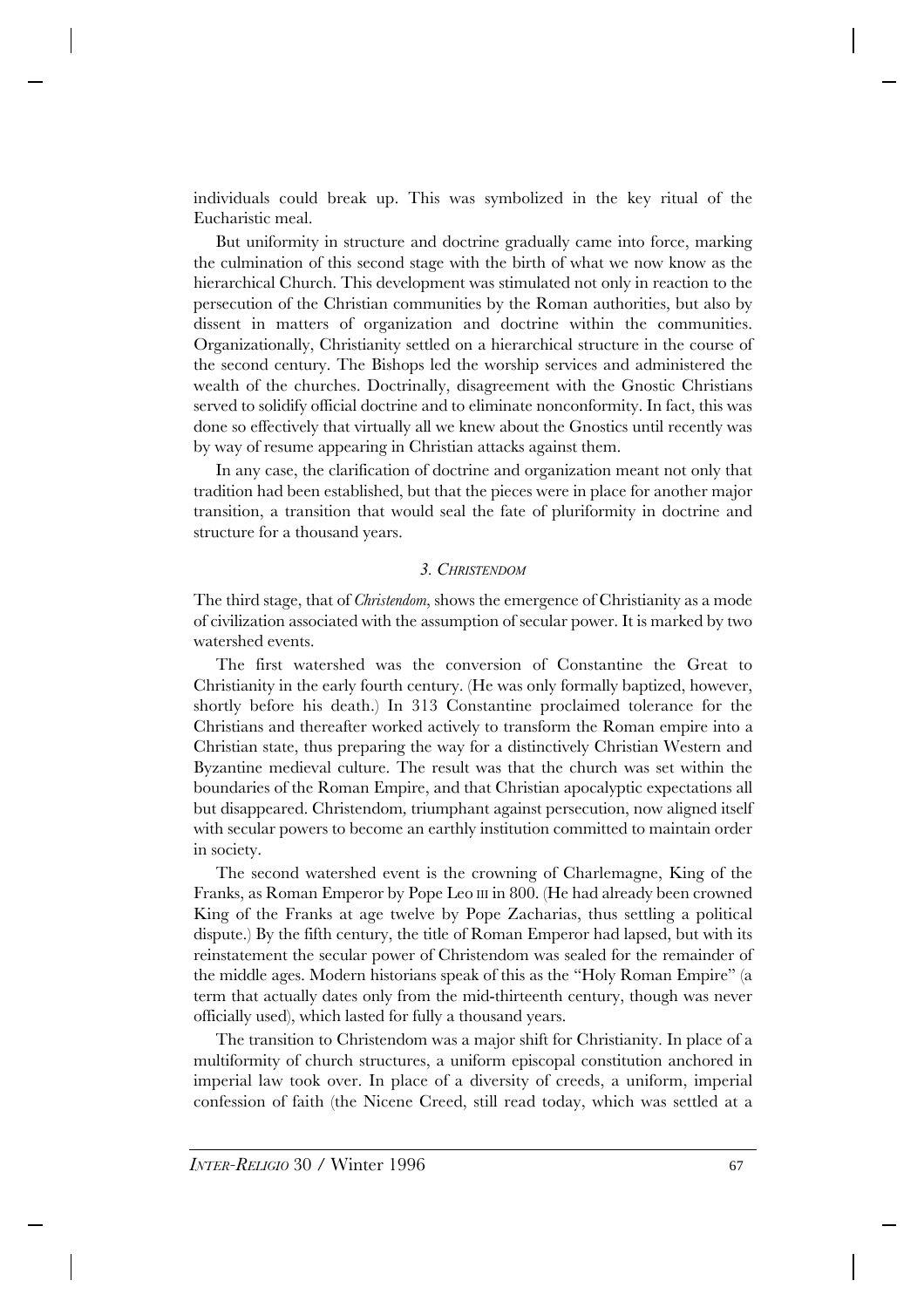individuals could break up. This was symbolized in the key ritual of the Eucharistic meal.

But uniformity in structure and doctrine gradually came into force, marking the culmination of this second stage with the birth of what we now know as the hierarchical Church. This development was stimulated not only in reaction to the persecution of the Christian communities by the Roman authorities, but also by dissent in matters of organization and doctrine within the communities. Organizationally, Christianity settled on a hierarchical structure in the course of the second century. The Bishops led the worship services and administered the wealth of the churches. Doctrinally, disagreement with the Gnostic Christians served to solidify official doctrine and to eliminate nonconformity. In fact, this was done so effectively that virtually all we knew about the Gnostics until recently was by way of resume appearing in Christian attacks against them.

In any case, the clarification of doctrine and organization meant not only that tradition had been established, but that the pieces were in place for another major transition, a transition that would seal the fate of pluriformity in doctrine and structure for a thousand years.

## *3. CHRISTENDOM*

The third stage, that of *Christendom*, shows the emergence of Christianity as a mode of civilization associated with the assumption of secular power. It is marked by two watershed events.

The first watershed was the conversion of Constantine the Great to Christianity in the early fourth century. (He was only formally baptized, however, shortly before his death.) In 313 Constantine proclaimed tolerance for the Christians and thereafter worked actively to transform the Roman empire into a Christian state, thus preparing the way for a distinctively Christian Western and Byzantine medieval culture. The result was that the church was set within the boundaries of the Roman Empire, and that Christian apocalyptic expectations all but disappeared. Christendom*,* triumphant against persecution, now aligned itself with secular powers to become an earthly institution committed to maintain order in society.

The second watershed event is the crowning of Charlemagne, King of the Franks, as Roman Emperor by Pope Leo III in 800. (He had already been crowned King of the Franks at age twelve by Pope Zacharias, thus settling a political dispute.) By the fifth century, the title of Roman Emperor had lapsed, but with its reinstatement the secular power of Christendom was sealed for the remainder of the middle ages. Modern historians speak of this as the "Holy Roman Empire" (a term that actually dates only from the mid-thirteenth century, though was never officially used), which lasted for fully a thousand years.

The transition to Christendom was a major shift for Christianity. In place of a multiformity of church structures, a uniform episcopal constitution anchored in imperial law took over. In place of a diversity of creeds, a uniform, imperial confession of faith (the Nicene Creed, still read today, which was settled at a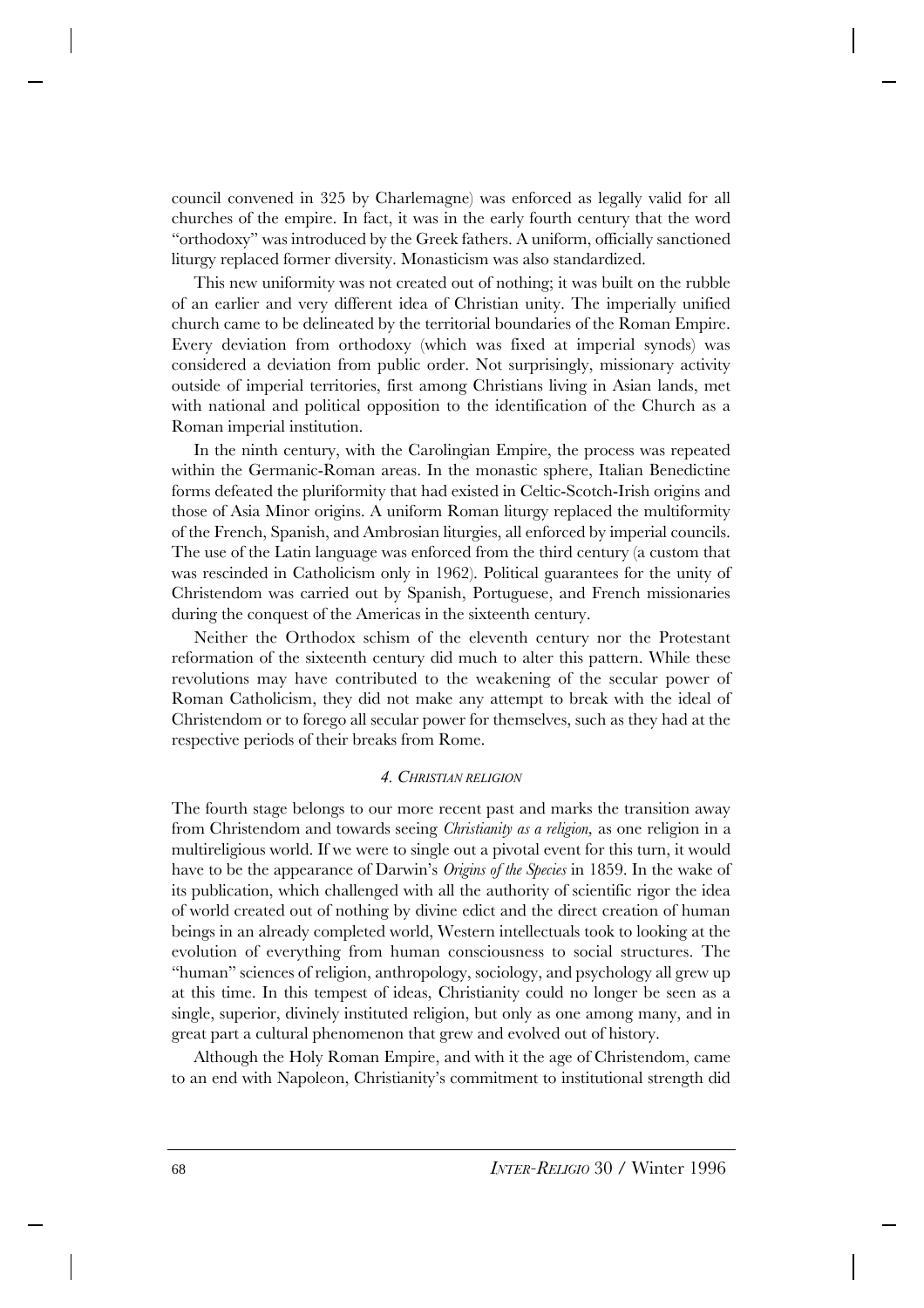council convened in 325 by Charlemagne) was enforced as legally valid for all churches of the empire. In fact, it was in the early fourth century that the word "orthodoxy" was introduced by the Greek fathers. A uniform, officially sanctioned liturgy replaced former diversity. Monasticism was also standardized.

This new uniformity was not created out of nothing; it was built on the rubble of an earlier and very different idea of Christian unity. The imperially unified church came to be delineated by the territorial boundaries of the Roman Empire. Every deviation from orthodoxy (which was fixed at imperial synods) was considered a deviation from public order. Not surprisingly, missionary activity outside of imperial territories, first among Christians living in Asian lands, met with national and political opposition to the identification of the Church as a Roman imperial institution.

In the ninth century, with the Carolingian Empire, the process was repeated within the Germanic-Roman areas. In the monastic sphere, Italian Benedictine forms defeated the pluriformity that had existed in Celtic-Scotch-Irish origins and those of Asia Minor origins. A uniform Roman liturgy replaced the multiformity of the French, Spanish, and Ambrosian liturgies, all enforced by imperial councils. The use of the Latin language was enforced from the third century (a custom that was rescinded in Catholicism only in 1962). Political guarantees for the unity of Christendom was carried out by Spanish, Portuguese, and French missionaries during the conquest of the Americas in the sixteenth century.

Neither the Orthodox schism of the eleventh century nor the Protestant reformation of the sixteenth century did much to alter this pattern. While these revolutions may have contributed to the weakening of the secular power of Roman Catholicism, they did not make any attempt to break with the ideal of Christendom or to forego all secular power for themselves, such as they had at the respective periods of their breaks from Rome.

#### *4. CHRISTIAN RELIGION*

The fourth stage belongs to our more recent past and marks the transition away from Christendom and towards seeing *Christianity as a religion,* as one religion in a multireligious world. If we were to single out a pivotal event for this turn, it would have to be the appearance of Darwin's *Origins of the Species* in 1859. In the wake of its publication, which challenged with all the authority of scientific rigor the idea of world created out of nothing by divine edict and the direct creation of human beings in an already completed world, Western intellectuals took to looking at the evolution of everything from human consciousness to social structures. The "human" sciences of religion, anthropology, sociology, and psychology all grew up at this time. In this tempest of ideas, Christianity could no longer be seen as a single, superior, divinely instituted religion, but only as one among many, and in great part a cultural phenomenon that grew and evolved out of history.

Although the Holy Roman Empire, and with it the age of Christendom, came to an end with Napoleon, Christianity's commitment to institutional strength did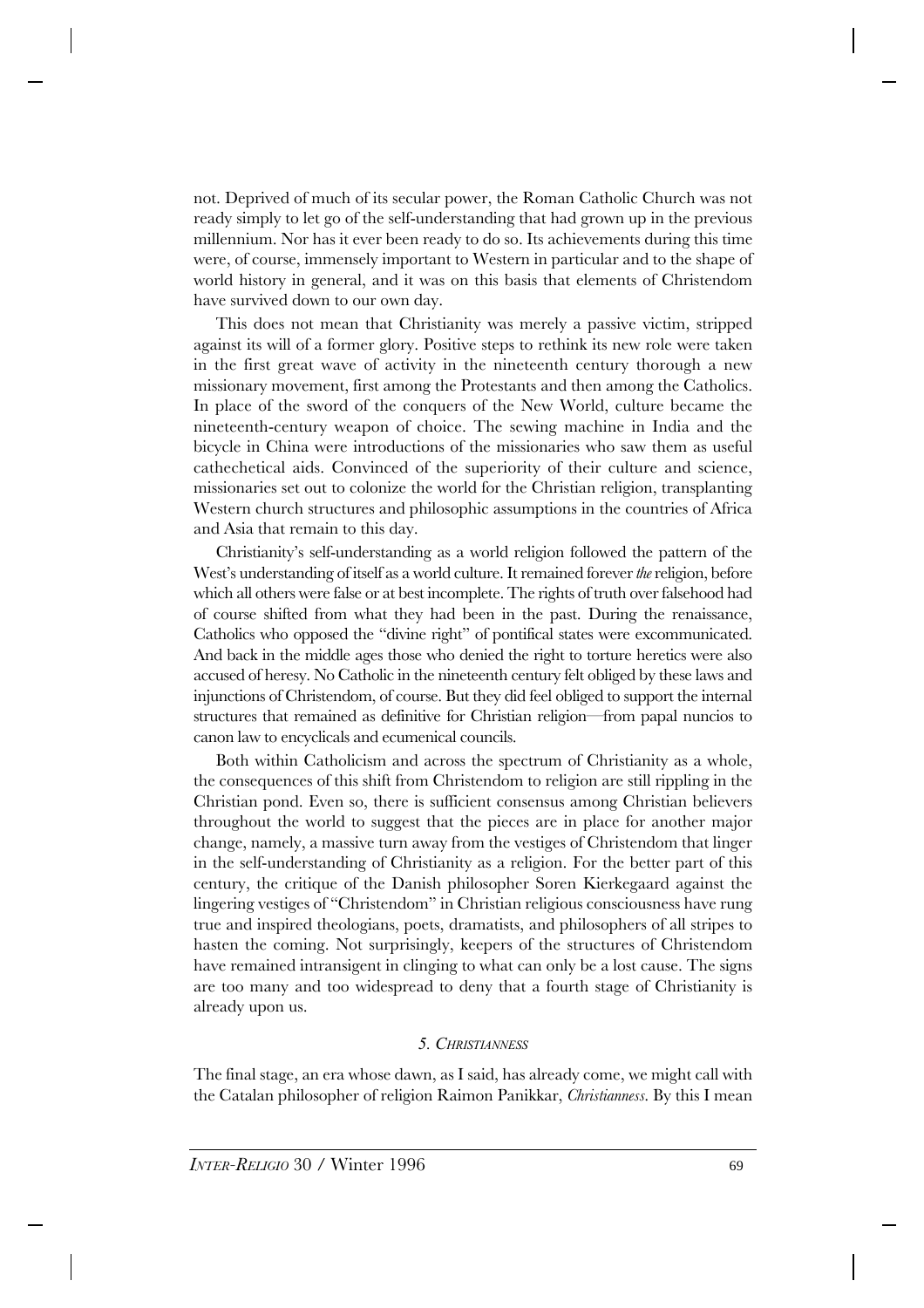not. Deprived of much of its secular power, the Roman Catholic Church was not ready simply to let go of the self-understanding that had grown up in the previous millennium. Nor has it ever been ready to do so. Its achievements during this time were, of course, immensely important to Western in particular and to the shape of world history in general, and it was on this basis that elements of Christendom have survived down to our own day.

This does not mean that Christianity was merely a passive victim, stripped against its will of a former glory. Positive steps to rethink its new role were taken in the first great wave of activity in the nineteenth century thorough a new missionary movement, first among the Protestants and then among the Catholics. In place of the sword of the conquers of the New World, culture became the nineteenth-century weapon of choice. The sewing machine in India and the bicycle in China were introductions of the missionaries who saw them as useful cathechetical aids. Convinced of the superiority of their culture and science, missionaries set out to colonize the world for the Christian religion, transplanting Western church structures and philosophic assumptions in the countries of Africa and Asia that remain to this day.

Christianity's self-understanding as a world religion followed the pattern of the West's understanding of itself as a world culture. It remained forever *the* religion, before which all others were false or at best incomplete. The rights of truth over falsehood had of course shifted from what they had been in the past. During the renaissance, Catholics who opposed the "divine right" of pontifical states were excommunicated. And back in the middle ages those who denied the right to torture heretics were also accused of heresy. No Catholic in the nineteenth century felt obliged by these laws and injunctions of Christendom, of course. But they did feel obliged to support the internal structures that remained as definitive for Christian religion—from papal nuncios to canon law to encyclicals and ecumenical councils.

Both within Catholicism and across the spectrum of Christianity as a whole, the consequences of this shift from Christendom to religion are still rippling in the Christian pond. Even so, there is sufficient consensus among Christian believers throughout the world to suggest that the pieces are in place for another major change, namely, a massive turn away from the vestiges of Christendom that linger in the self-understanding of Christianity as a religion. For the better part of this century, the critique of the Danish philosopher Soren Kierkegaard against the lingering vestiges of "Christendom" in Christian religious consciousness have rung true and inspired theologians, poets, dramatists, and philosophers of all stripes to hasten the coming. Not surprisingly, keepers of the structures of Christendom have remained intransigent in clinging to what can only be a lost cause. The signs are too many and too widespread to deny that a fourth stage of Christianity is already upon us.

### *5. CHRISTIANNESS*

The final stage, an era whose dawn, as I said, has already come, we might call with the Catalan philosopher of religion Raimon Panikkar, *Christianness*. By this I mean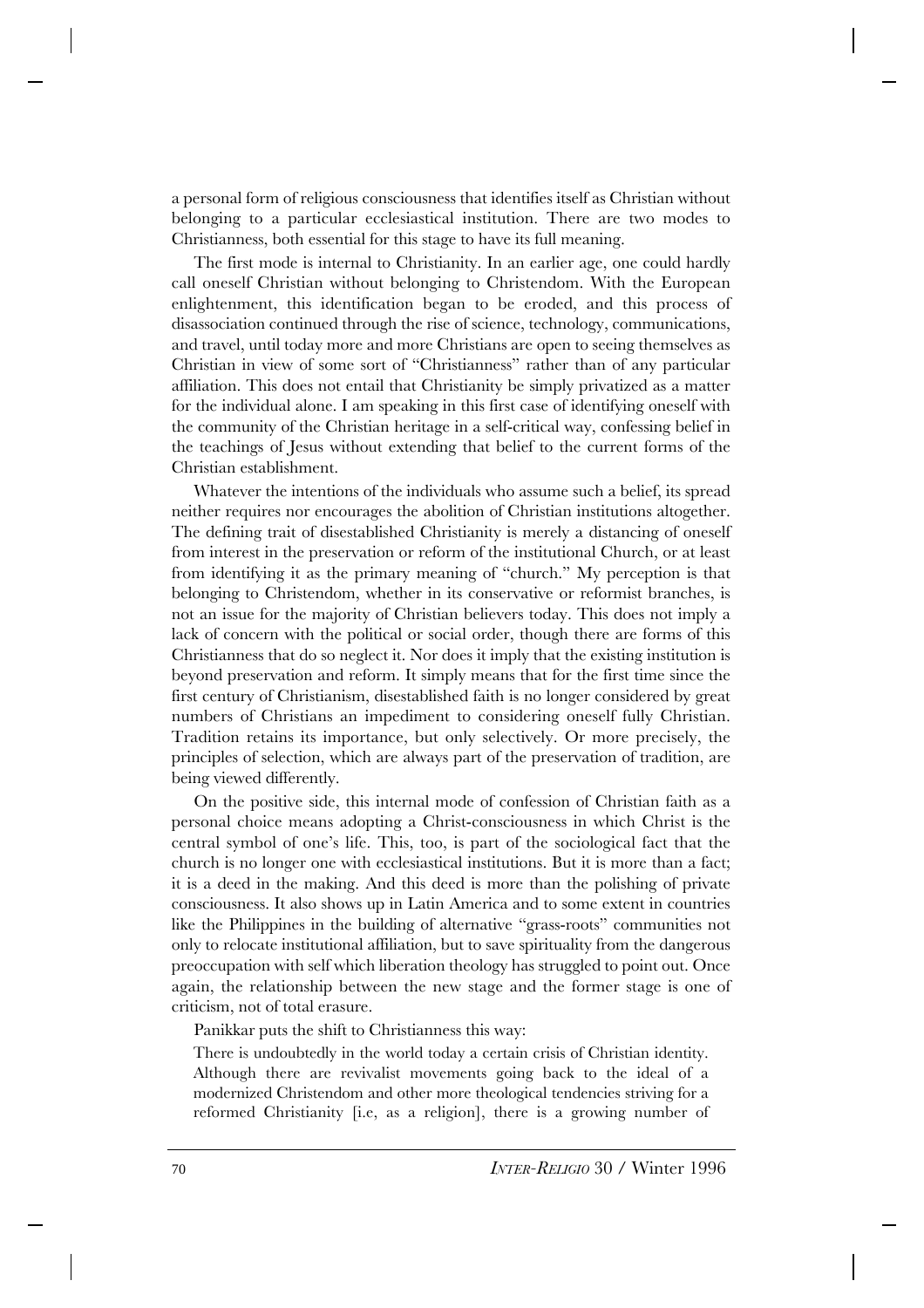a personal form of religious consciousness that identifies itself as Christian without belonging to a particular ecclesiastical institution. There are two modes to Christianness, both essential for this stage to have its full meaning.

The first mode is internal to Christianity. In an earlier age, one could hardly call oneself Christian without belonging to Christendom. With the European enlightenment, this identification began to be eroded, and this process of disassociation continued through the rise of science, technology, communications, and travel, until today more and more Christians are open to seeing themselves as Christian in view of some sort of "Christianness" rather than of any particular affiliation. This does not entail that Christianity be simply privatized as a matter for the individual alone. I am speaking in this first case of identifying oneself with the community of the Christian heritage in a self-critical way, confessing belief in the teachings of Jesus without extending that belief to the current forms of the Christian establishment.

Whatever the intentions of the individuals who assume such a belief, its spread neither requires nor encourages the abolition of Christian institutions altogether. The defining trait of disestablished Christianity is merely a distancing of oneself from interest in the preservation or reform of the institutional Church, or at least from identifying it as the primary meaning of "church." My perception is that belonging to Christendom, whether in its conservative or reformist branches, is not an issue for the majority of Christian believers today. This does not imply a lack of concern with the political or social order, though there are forms of this Christianness that do so neglect it. Nor does it imply that the existing institution is beyond preservation and reform. It simply means that for the first time since the first century of Christianism, disestablished faith is no longer considered by great numbers of Christians an impediment to considering oneself fully Christian. Tradition retains its importance, but only selectively. Or more precisely, the principles of selection, which are always part of the preservation of tradition, are being viewed differently.

On the positive side, this internal mode of confession of Christian faith as a personal choice means adopting a Christ-consciousness in which Christ is the central symbol of one's life. This, too, is part of the sociological fact that the church is no longer one with ecclesiastical institutions. But it is more than a fact; it is a deed in the making. And this deed is more than the polishing of private consciousness. It also shows up in Latin America and to some extent in countries like the Philippines in the building of alternative "grass-roots" communities not only to relocate institutional affiliation, but to save spirituality from the dangerous preoccupation with self which liberation theology has struggled to point out. Once again, the relationship between the new stage and the former stage is one of criticism, not of total erasure.

Panikkar puts the shift to Christianness this way:

There is undoubtedly in the world today a certain crisis of Christian identity. Although there are revivalist movements going back to the ideal of a modernized Christendom and other more theological tendencies striving for a reformed Christianity [i.e, as a religion], there is a growing number of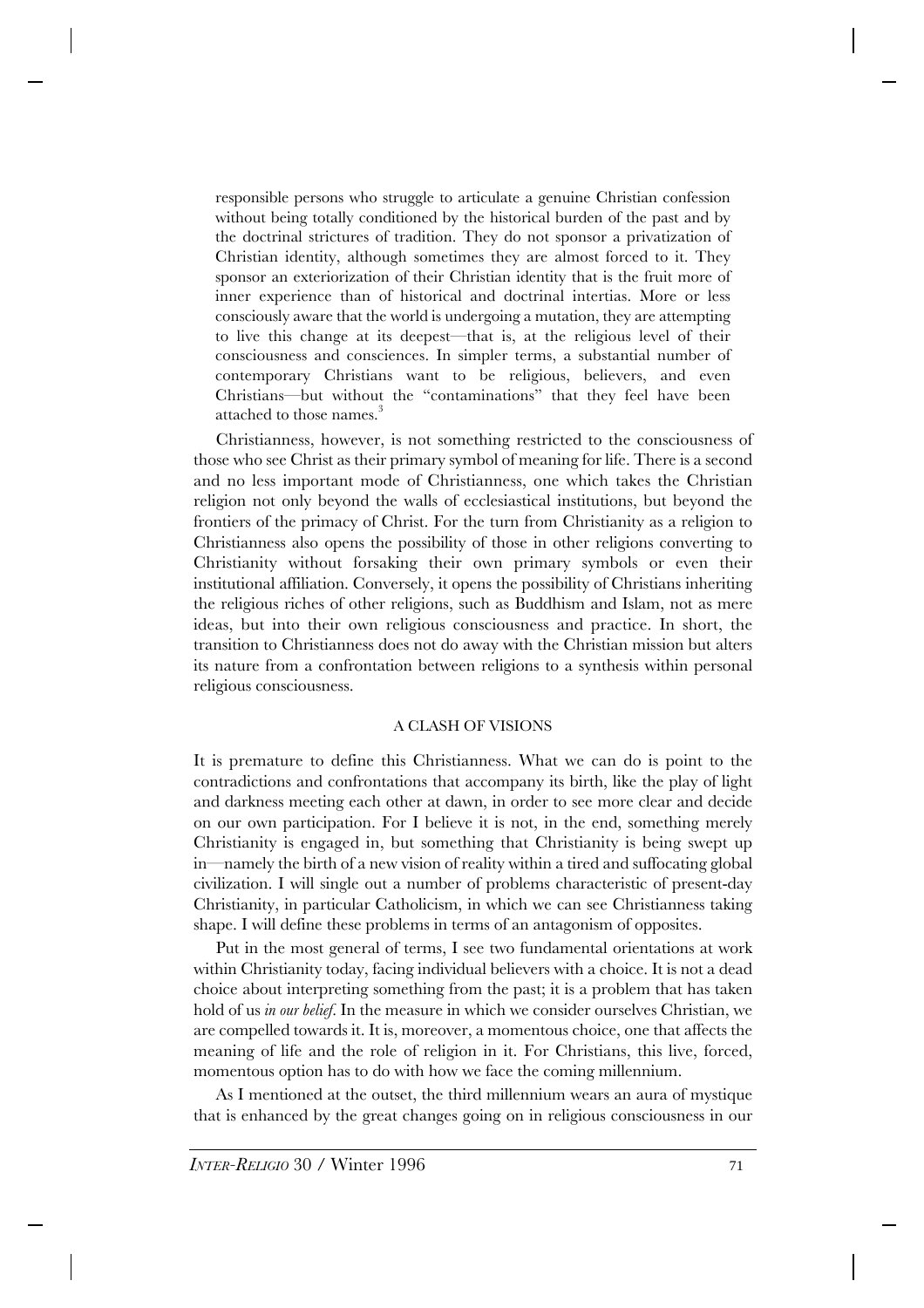responsible persons who struggle to articulate a genuine Christian confession without being totally conditioned by the historical burden of the past and by the doctrinal strictures of tradition. They do not sponsor a privatization of Christian identity, although sometimes they are almost forced to it. They sponsor an exteriorization of their Christian identity that is the fruit more of inner experience than of historical and doctrinal intertias. More or less consciously aware that the world is undergoing a mutation, they are attempting to live this change at its deepest—that is, at the religious level of their consciousness and consciences. In simpler terms, a substantial number of contemporary Christians want to be religious, believers, and even Christians—but without the "contaminations" that they feel have been attached to those names.<sup>3</sup>

Christianness, however, is not something restricted to the consciousness of those who see Christ as their primary symbol of meaning for life. There is a second and no less important mode of Christianness, one which takes the Christian religion not only beyond the walls of ecclesiastical institutions, but beyond the frontiers of the primacy of Christ. For the turn from Christianity as a religion to Christianness also opens the possibility of those in other religions converting to Christianity without forsaking their own primary symbols or even their institutional affiliation. Conversely, it opens the possibility of Christians inheriting the religious riches of other religions, such as Buddhism and Islam, not as mere ideas, but into their own religious consciousness and practice. In short, the transition to Christianness does not do away with the Christian mission but alters its nature from a confrontation between religions to a synthesis within personal religious consciousness.

## A CLASH OF VISIONS

It is premature to define this Christianness. What we can do is point to the contradictions and confrontations that accompany its birth, like the play of light and darkness meeting each other at dawn, in order to see more clear and decide on our own participation. For I believe it is not, in the end, something merely Christianity is engaged in, but something that Christianity is being swept up in—namely the birth of a new vision of reality within a tired and suffocating global civilization. I will single out a number of problems characteristic of present-day Christianity, in particular Catholicism, in which we can see Christianness taking shape. I will define these problems in terms of an antagonism of opposites.

Put in the most general of terms, I see two fundamental orientations at work within Christianity today, facing individual believers with a choice. It is not a dead choice about interpreting something from the past; it is a problem that has taken hold of us *in our belief.* In the measure in which we consider ourselves Christian, we are compelled towards it. It is, moreover, a momentous choice, one that affects the meaning of life and the role of religion in it. For Christians, this live, forced, momentous option has to do with how we face the coming millennium.

As I mentioned at the outset, the third millennium wears an aura of mystique that is enhanced by the great changes going on in religious consciousness in our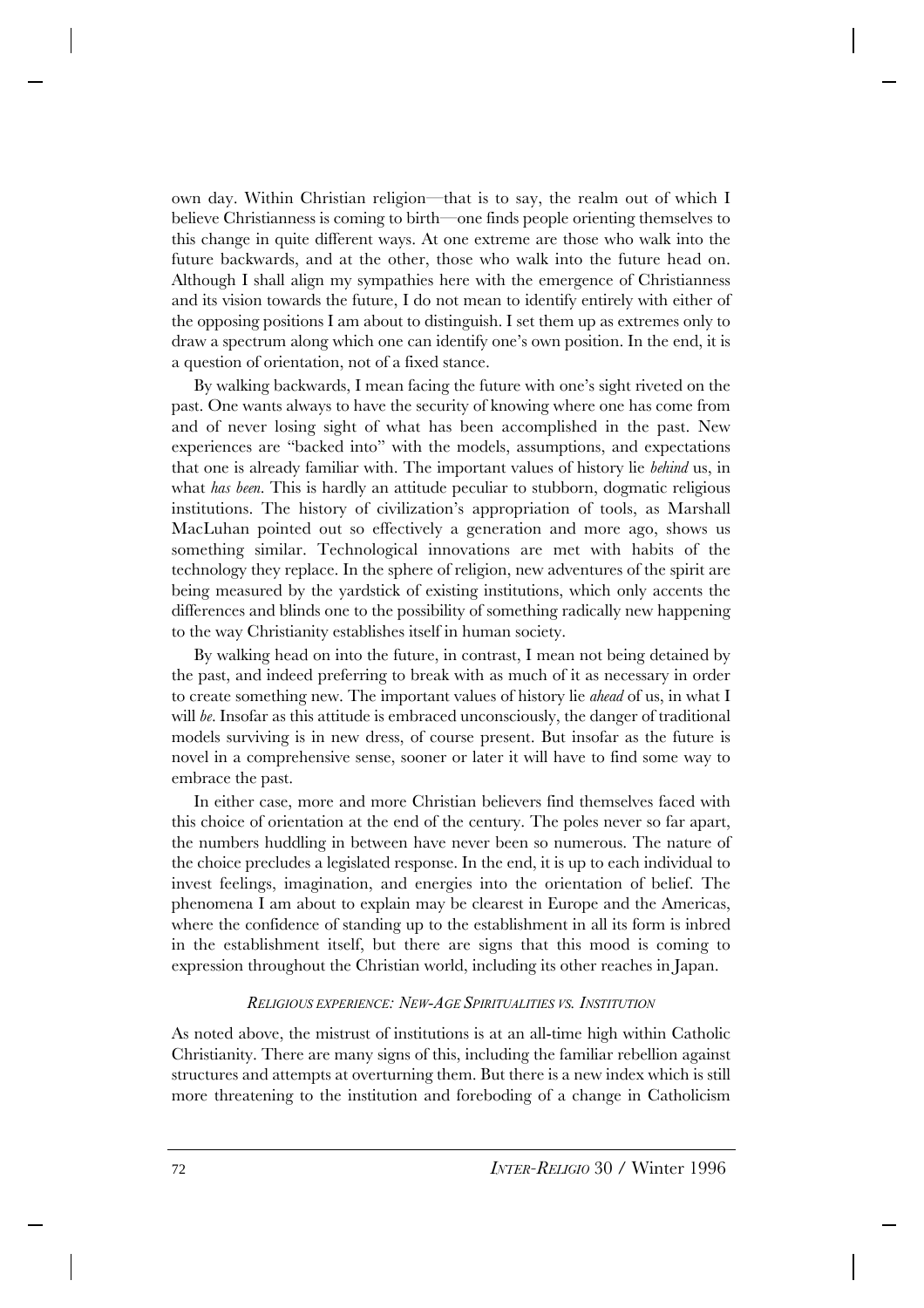own day. Within Christian religion—that is to say, the realm out of which I believe Christianness is coming to birth—one finds people orienting themselves to this change in quite different ways. At one extreme are those who walk into the future backwards, and at the other, those who walk into the future head on. Although I shall align my sympathies here with the emergence of Christianness and its vision towards the future, I do not mean to identify entirely with either of the opposing positions I am about to distinguish. I set them up as extremes only to draw a spectrum along which one can identify one's own position. In the end, it is a question of orientation, not of a fixed stance.

By walking backwards, I mean facing the future with one's sight riveted on the past. One wants always to have the security of knowing where one has come from and of never losing sight of what has been accomplished in the past. New experiences are "backed into" with the models, assumptions, and expectations that one is already familiar with. The important values of history lie *behind* us, in what *has been.* This is hardly an attitude peculiar to stubborn, dogmatic religious institutions. The history of civilization's appropriation of tools, as Marshall MacLuhan pointed out so effectively a generation and more ago, shows us something similar. Technological innovations are met with habits of the technology they replace. In the sphere of religion, new adventures of the spirit are being measured by the yardstick of existing institutions, which only accents the differences and blinds one to the possibility of something radically new happening to the way Christianity establishes itself in human society.

By walking head on into the future, in contrast, I mean not being detained by the past, and indeed preferring to break with as much of it as necessary in order to create something new. The important values of history lie *ahead* of us, in what I will *be*. Insofar as this attitude is embraced unconsciously, the danger of traditional models surviving is in new dress, of course present. But insofar as the future is novel in a comprehensive sense, sooner or later it will have to find some way to embrace the past.

In either case, more and more Christian believers find themselves faced with this choice of orientation at the end of the century. The poles never so far apart, the numbers huddling in between have never been so numerous. The nature of the choice precludes a legislated response. In the end, it is up to each individual to invest feelings, imagination, and energies into the orientation of belief. The phenomena I am about to explain may be clearest in Europe and the Americas, where the confidence of standing up to the establishment in all its form is inbred in the establishment itself, but there are signs that this mood is coming to expression throughout the Christian world, including its other reaches in Japan.

## *RELIGIOUS EXPERIENCE: NEW-AGE SPIRITUALITIES VS. INSTITUTION*

As noted above, the mistrust of institutions is at an all-time high within Catholic Christianity. There are many signs of this, including the familiar rebellion against structures and attempts at overturning them. But there is a new index which is still more threatening to the institution and foreboding of a change in Catholicism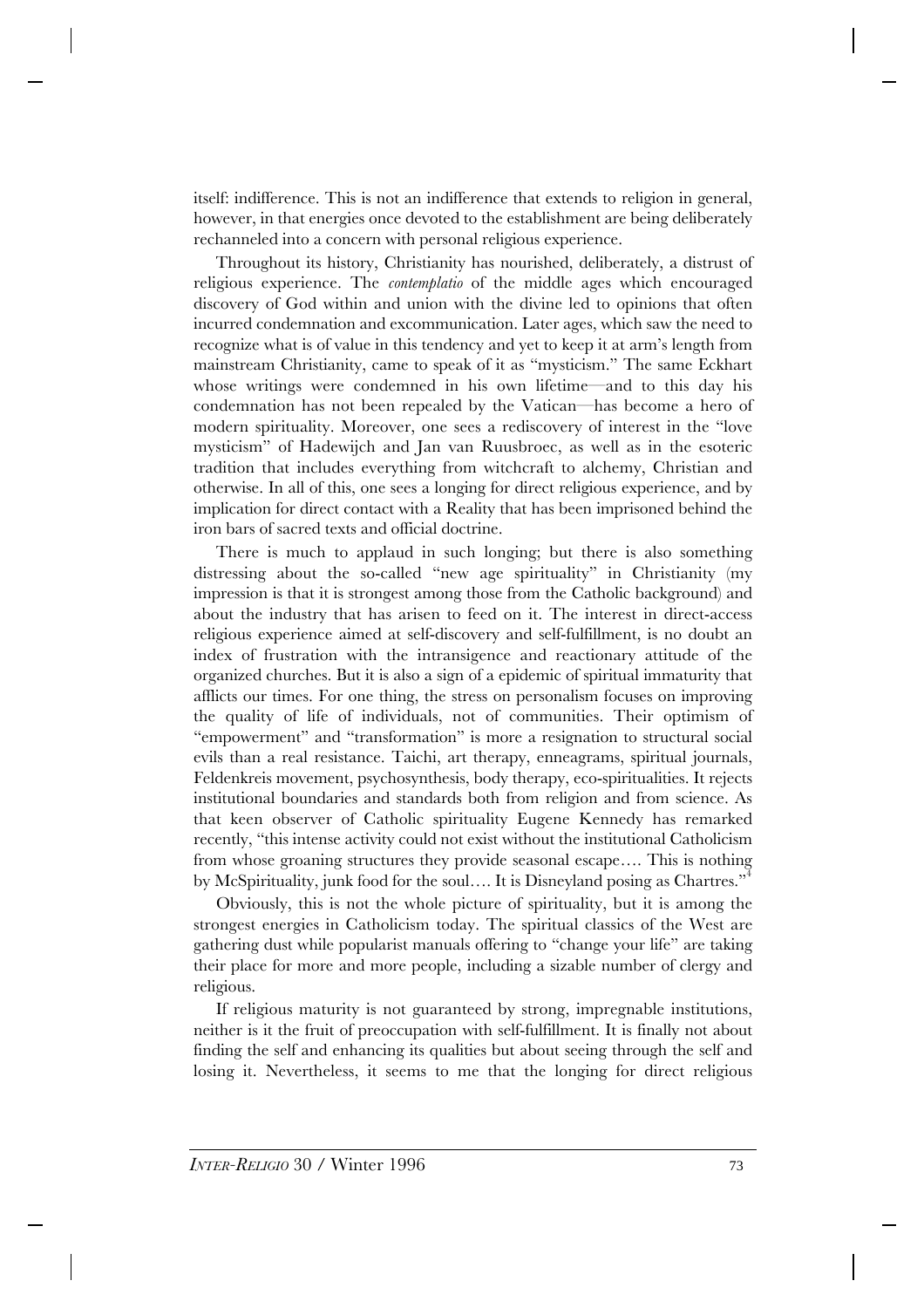itself: indifference. This is not an indifference that extends to religion in general, however, in that energies once devoted to the establishment are being deliberately rechanneled into a concern with personal religious experience.

Throughout its history, Christianity has nourished, deliberately, a distrust of religious experience. The *contemplatio* of the middle ages which encouraged discovery of God within and union with the divine led to opinions that often incurred condemnation and excommunication. Later ages, which saw the need to recognize what is of value in this tendency and yet to keep it at arm's length from mainstream Christianity, came to speak of it as "mysticism." The same Eckhart whose writings were condemned in his own lifetime—and to this day his condemnation has not been repealed by the Vatican—has become a hero of modern spirituality. Moreover, one sees a rediscovery of interest in the "love mysticism" of Hadewijch and Jan van Ruusbroec, as well as in the esoteric tradition that includes everything from witchcraft to alchemy, Christian and otherwise. In all of this, one sees a longing for direct religious experience, and by implication for direct contact with a Reality that has been imprisoned behind the iron bars of sacred texts and official doctrine.

There is much to applaud in such longing; but there is also something distressing about the so-called "new age spirituality" in Christianity (my impression is that it is strongest among those from the Catholic background) and about the industry that has arisen to feed on it. The interest in direct-access religious experience aimed at self-discovery and self-fulfillment, is no doubt an index of frustration with the intransigence and reactionary attitude of the organized churches. But it is also a sign of a epidemic of spiritual immaturity that afflicts our times. For one thing, the stress on personalism focuses on improving the quality of life of individuals, not of communities. Their optimism of "empowerment" and "transformation" is more a resignation to structural social evils than a real resistance. Taichi, art therapy, enneagrams, spiritual journals, Feldenkreis movement, psychosynthesis, body therapy, eco-spiritualities. It rejects institutional boundaries and standards both from religion and from science. As that keen observer of Catholic spirituality Eugene Kennedy has remarked recently, "this intense activity could not exist without the institutional Catholicism from whose groaning structures they provide seasonal escape…. This is nothing by McSpirituality, junk food for the soul.... It is Disneyland posing as Chartres."<sup>4</sup>

Obviously, this is not the whole picture of spirituality, but it is among the strongest energies in Catholicism today. The spiritual classics of the West are gathering dust while popularist manuals offering to "change your life" are taking their place for more and more people, including a sizable number of clergy and religious.

If religious maturity is not guaranteed by strong, impregnable institutions, neither is it the fruit of preoccupation with self-fulfillment. It is finally not about finding the self and enhancing its qualities but about seeing through the self and losing it. Nevertheless, it seems to me that the longing for direct religious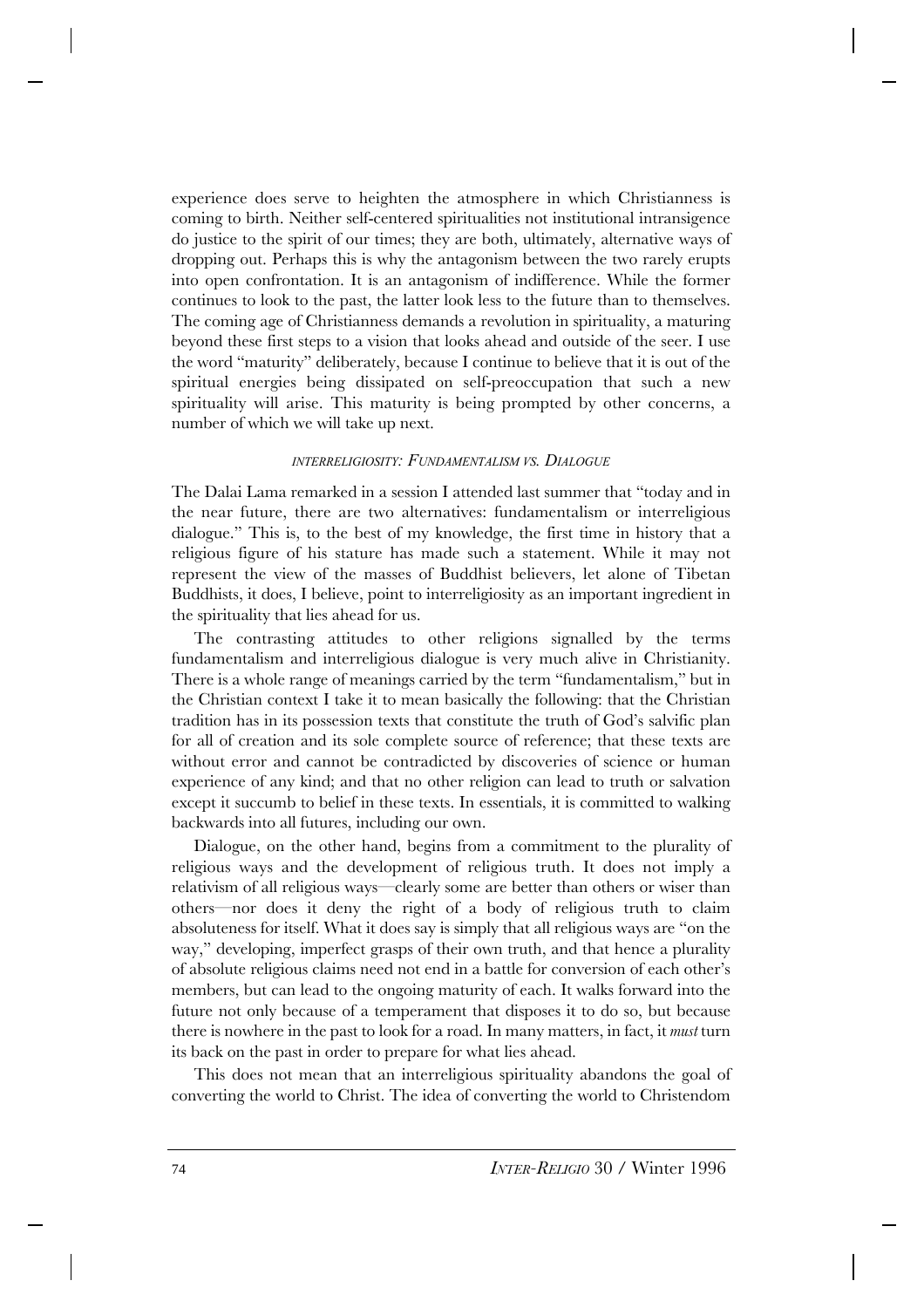experience does serve to heighten the atmosphere in which Christianness is coming to birth. Neither self-centered spiritualities not institutional intransigence do justice to the spirit of our times; they are both, ultimately, alternative ways of dropping out. Perhaps this is why the antagonism between the two rarely erupts into open confrontation. It is an antagonism of indifference. While the former continues to look to the past, the latter look less to the future than to themselves. The coming age of Christianness demands a revolution in spirituality, a maturing beyond these first steps to a vision that looks ahead and outside of the seer. I use the word "maturity" deliberately, because I continue to believe that it is out of the spiritual energies being dissipated on self-preoccupation that such a new spirituality will arise. This maturity is being prompted by other concerns, a number of which we will take up next.

## *INTERRELIGIOSITY: FUNDAMENTALISM VS. DIALOGUE*

The Dalai Lama remarked in a session I attended last summer that "today and in the near future, there are two alternatives: fundamentalism or interreligious dialogue." This is, to the best of my knowledge, the first time in history that a religious figure of his stature has made such a statement. While it may not represent the view of the masses of Buddhist believers, let alone of Tibetan Buddhists, it does, I believe, point to interreligiosity as an important ingredient in the spirituality that lies ahead for us.

The contrasting attitudes to other religions signalled by the terms fundamentalism and interreligious dialogue is very much alive in Christianity. There is a whole range of meanings carried by the term "fundamentalism," but in the Christian context I take it to mean basically the following: that the Christian tradition has in its possession texts that constitute the truth of God's salvific plan for all of creation and its sole complete source of reference; that these texts are without error and cannot be contradicted by discoveries of science or human experience of any kind; and that no other religion can lead to truth or salvation except it succumb to belief in these texts. In essentials, it is committed to walking backwards into all futures, including our own.

Dialogue, on the other hand, begins from a commitment to the plurality of religious ways and the development of religious truth. It does not imply a relativism of all religious ways—clearly some are better than others or wiser than others—nor does it deny the right of a body of religious truth to claim absoluteness for itself. What it does say is simply that all religious ways are "on the way," developing, imperfect grasps of their own truth, and that hence a plurality of absolute religious claims need not end in a battle for conversion of each other's members, but can lead to the ongoing maturity of each. It walks forward into the future not only because of a temperament that disposes it to do so, but because there is nowhere in the past to look for a road. In many matters, in fact, it *must* turn its back on the past in order to prepare for what lies ahead.

This does not mean that an interreligious spirituality abandons the goal of converting the world to Christ. The idea of converting the world to Christendom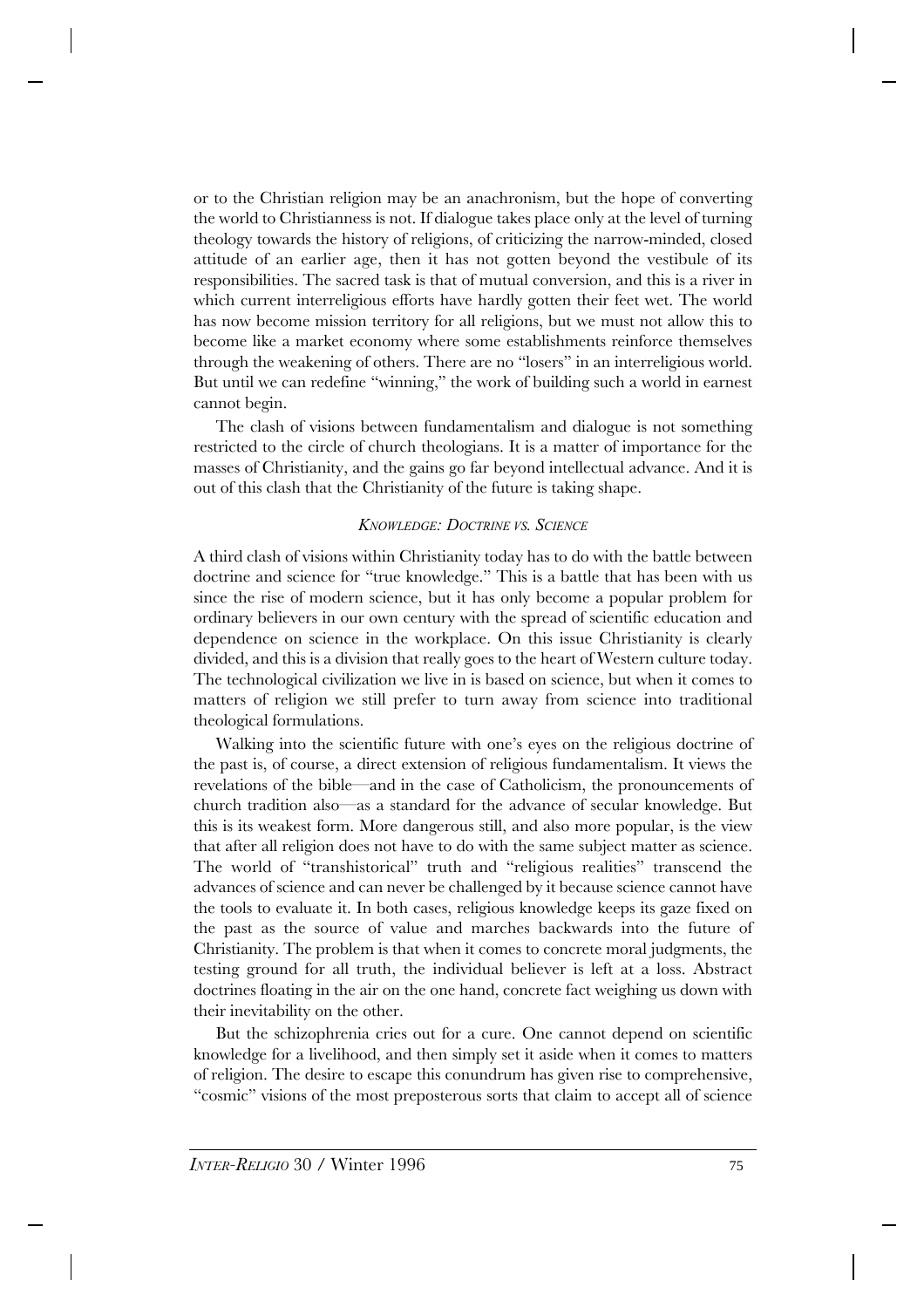or to the Christian religion may be an anachronism, but the hope of converting the world to Christianness is not. If dialogue takes place only at the level of turning theology towards the history of religions, of criticizing the narrow-minded, closed attitude of an earlier age, then it has not gotten beyond the vestibule of its responsibilities. The sacred task is that of mutual conversion, and this is a river in which current interreligious efforts have hardly gotten their feet wet. The world has now become mission territory for all religions, but we must not allow this to become like a market economy where some establishments reinforce themselves through the weakening of others. There are no "losers" in an interreligious world. But until we can redefine "winning," the work of building such a world in earnest cannot begin.

The clash of visions between fundamentalism and dialogue is not something restricted to the circle of church theologians. It is a matter of importance for the masses of Christianity, and the gains go far beyond intellectual advance. And it is out of this clash that the Christianity of the future is taking shape.

## *KNOWLEDGE: DOCTRINE VS. SCIENCE*

A third clash of visions within Christianity today has to do with the battle between doctrine and science for "true knowledge." This is a battle that has been with us since the rise of modern science, but it has only become a popular problem for ordinary believers in our own century with the spread of scientific education and dependence on science in the workplace. On this issue Christianity is clearly divided, and this is a division that really goes to the heart of Western culture today. The technological civilization we live in is based on science, but when it comes to matters of religion we still prefer to turn away from science into traditional theological formulations.

Walking into the scientific future with one's eyes on the religious doctrine of the past is, of course, a direct extension of religious fundamentalism. It views the revelations of the bible—and in the case of Catholicism, the pronouncements of church tradition also—as a standard for the advance of secular knowledge. But this is its weakest form. More dangerous still, and also more popular, is the view that after all religion does not have to do with the same subject matter as science. The world of "transhistorical" truth and "religious realities" transcend the advances of science and can never be challenged by it because science cannot have the tools to evaluate it. In both cases, religious knowledge keeps its gaze fixed on the past as the source of value and marches backwards into the future of Christianity. The problem is that when it comes to concrete moral judgments, the testing ground for all truth, the individual believer is left at a loss. Abstract doctrines floating in the air on the one hand, concrete fact weighing us down with their inevitability on the other.

But the schizophrenia cries out for a cure. One cannot depend on scientific knowledge for a livelihood, and then simply set it aside when it comes to matters of religion. The desire to escape this conundrum has given rise to comprehensive, "cosmic" visions of the most preposterous sorts that claim to accept all of science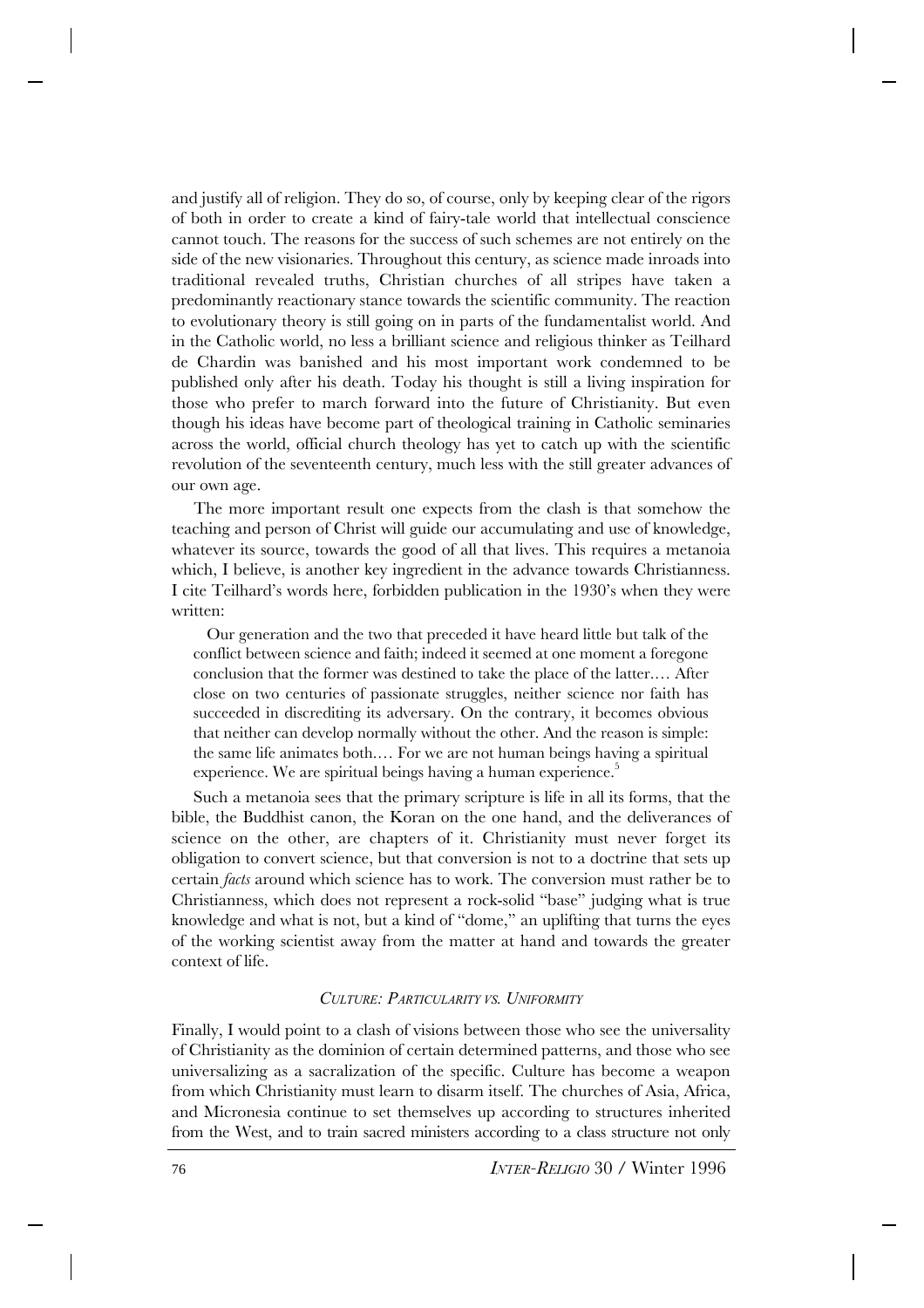and justify all of religion. They do so, of course, only by keeping clear of the rigors of both in order to create a kind of fairy-tale world that intellectual conscience cannot touch. The reasons for the success of such schemes are not entirely on the side of the new visionaries. Throughout this century, as science made inroads into traditional revealed truths, Christian churches of all stripes have taken a predominantly reactionary stance towards the scientific community. The reaction to evolutionary theory is still going on in parts of the fundamentalist world. And in the Catholic world, no less a brilliant science and religious thinker as Teilhard de Chardin was banished and his most important work condemned to be published only after his death. Today his thought is still a living inspiration for those who prefer to march forward into the future of Christianity. But even though his ideas have become part of theological training in Catholic seminaries across the world, official church theology has yet to catch up with the scientific revolution of the seventeenth century, much less with the still greater advances of our own age.

The more important result one expects from the clash is that somehow the teaching and person of Christ will guide our accumulating and use of knowledge, whatever its source, towards the good of all that lives. This requires a metanoia which, I believe, is another key ingredient in the advance towards Christianness. I cite Teilhard's words here, forbidden publication in the 1930's when they were written:

Our generation and the two that preceded it have heard little but talk of the conflict between science and faith; indeed it seemed at one moment a foregone conclusion that the former was destined to take the place of the latter.… After close on two centuries of passionate struggles, neither science nor faith has succeeded in discrediting its adversary. On the contrary, it becomes obvious that neither can develop normally without the other. And the reason is simple: the same life animates both.… For we are not human beings having a spiritual experience. We are spiritual beings having a human experience.<sup>5</sup>

Such a metanoia sees that the primary scripture is life in all its forms, that the bible, the Buddhist canon, the Koran on the one hand, and the deliverances of science on the other, are chapters of it. Christianity must never forget its obligation to convert science, but that conversion is not to a doctrine that sets up certain *facts* around which science has to work. The conversion must rather be to Christianness, which does not represent a rock-solid "base" judging what is true knowledge and what is not, but a kind of "dome," an uplifting that turns the eyes of the working scientist away from the matter at hand and towards the greater context of life.

### *CULTURE: PARTICULARITY VS. UNIFORMITY*

Finally, I would point to a clash of visions between those who see the universality of Christianity as the dominion of certain determined patterns, and those who see universalizing as a sacralization of the specific. Culture has become a weapon from which Christianity must learn to disarm itself. The churches of Asia, Africa, and Micronesia continue to set themselves up according to structures inherited from the West, and to train sacred ministers according to a class structure not only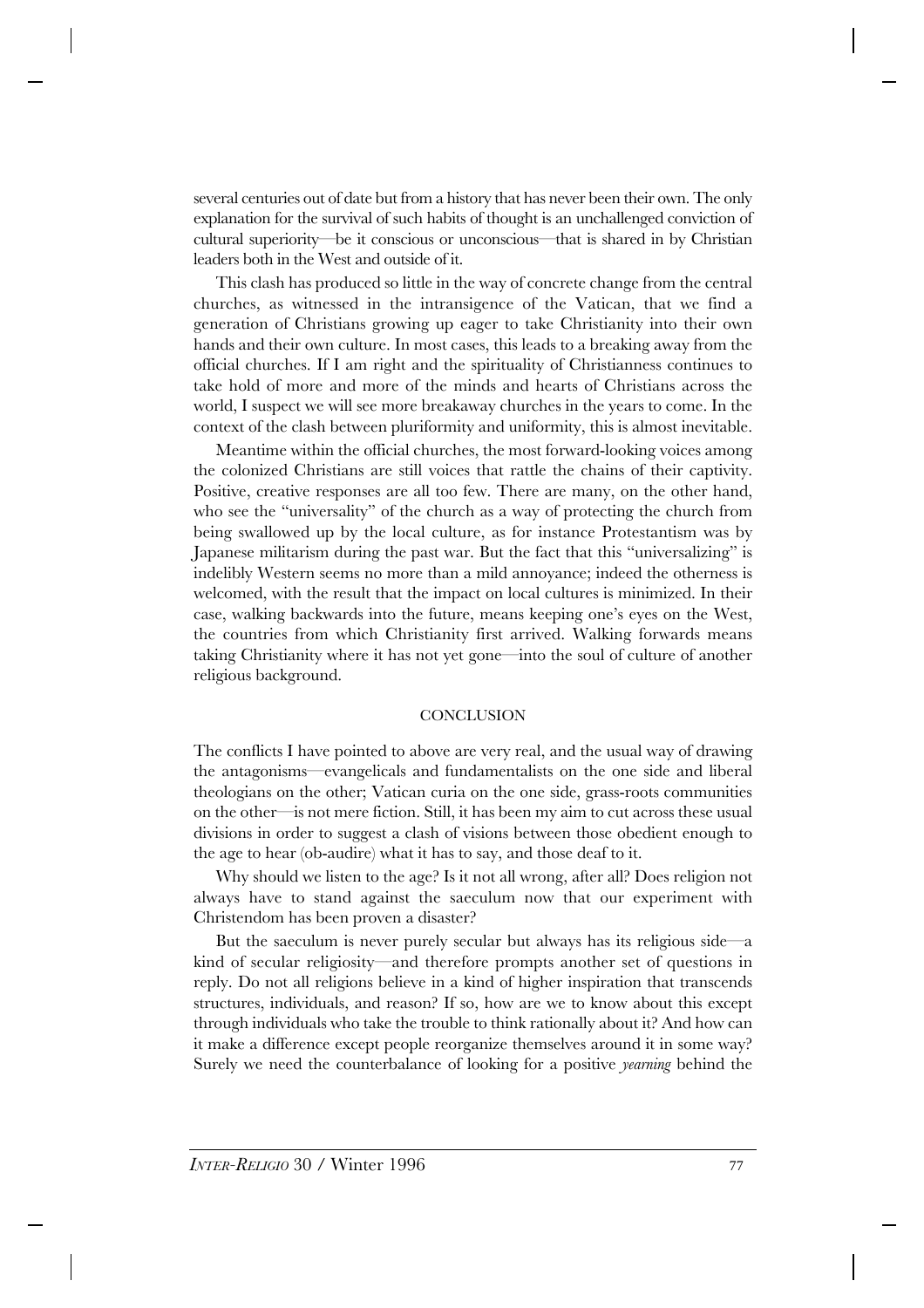several centuries out of date but from a history that has never been their own. The only explanation for the survival of such habits of thought is an unchallenged conviction of cultural superiority—be it conscious or unconscious—that is shared in by Christian leaders both in the West and outside of it.

This clash has produced so little in the way of concrete change from the central churches, as witnessed in the intransigence of the Vatican, that we find a generation of Christians growing up eager to take Christianity into their own hands and their own culture. In most cases, this leads to a breaking away from the official churches. If I am right and the spirituality of Christianness continues to take hold of more and more of the minds and hearts of Christians across the world, I suspect we will see more breakaway churches in the years to come. In the context of the clash between pluriformity and uniformity, this is almost inevitable.

Meantime within the official churches, the most forward-looking voices among the colonized Christians are still voices that rattle the chains of their captivity. Positive, creative responses are all too few. There are many, on the other hand, who see the "universality" of the church as a way of protecting the church from being swallowed up by the local culture, as for instance Protestantism was by Japanese militarism during the past war. But the fact that this "universalizing" is indelibly Western seems no more than a mild annoyance; indeed the otherness is welcomed, with the result that the impact on local cultures is minimized. In their case, walking backwards into the future, means keeping one's eyes on the West, the countries from which Christianity first arrived. Walking forwards means taking Christianity where it has not yet gone—into the soul of culture of another religious background.

#### **CONCLUSION**

The conflicts I have pointed to above are very real, and the usual way of drawing the antagonisms—evangelicals and fundamentalists on the one side and liberal theologians on the other; Vatican curia on the one side, grass-roots communities on the other—is not mere fiction. Still, it has been my aim to cut across these usual divisions in order to suggest a clash of visions between those obedient enough to the age to hear (ob-audire) what it has to say, and those deaf to it.

Why should we listen to the age? Is it not all wrong, after all? Does religion not always have to stand against the saeculum now that our experiment with Christendom has been proven a disaster?

But the saeculum is never purely secular but always has its religious side—a kind of secular religiosity—and therefore prompts another set of questions in reply. Do not all religions believe in a kind of higher inspiration that transcends structures, individuals, and reason? If so, how are we to know about this except through individuals who take the trouble to think rationally about it? And how can it make a difference except people reorganize themselves around it in some way? Surely we need the counterbalance of looking for a positive *yearning* behind the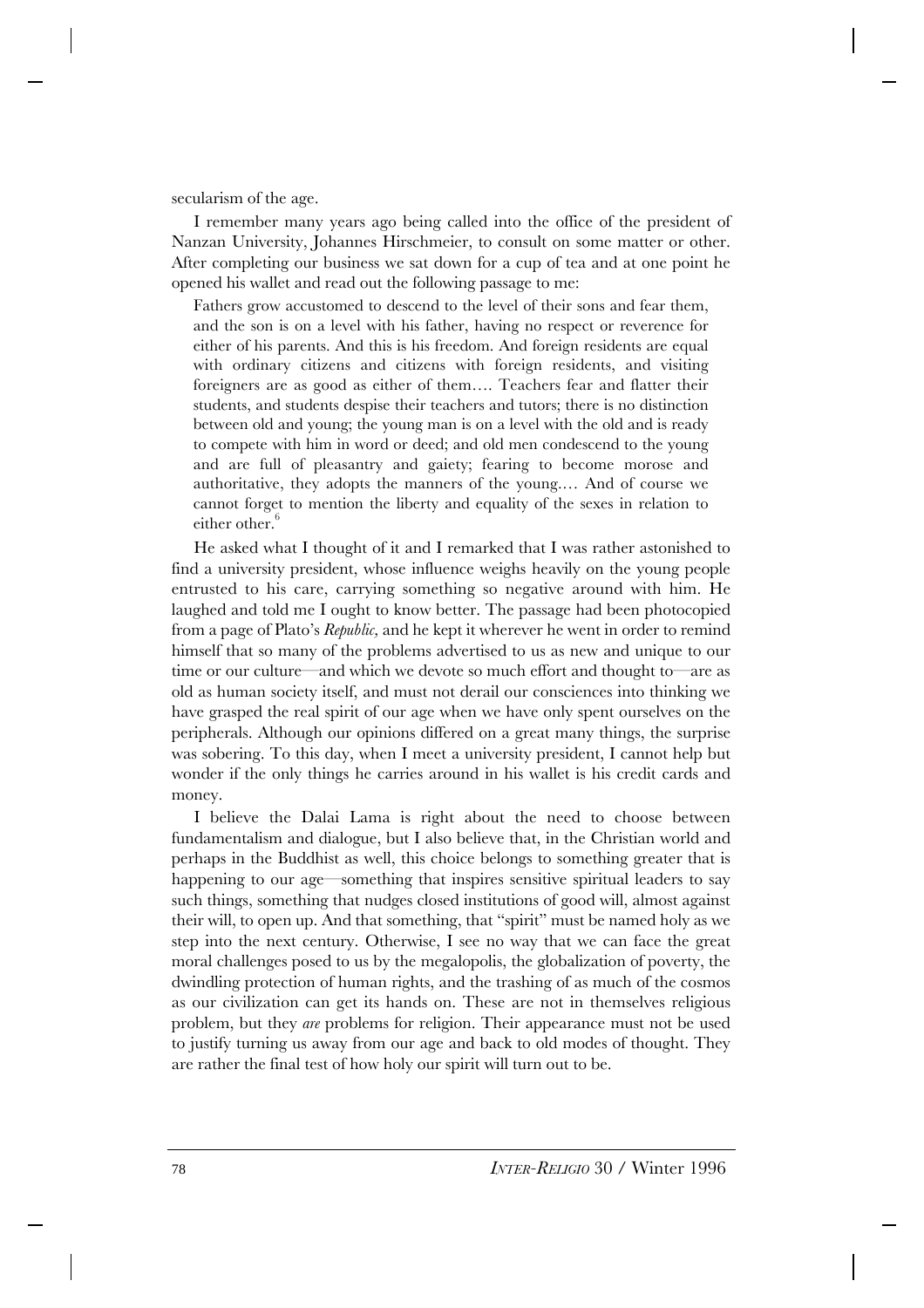secularism of the age.

I remember many years ago being called into the office of the president of Nanzan University, Johannes Hirschmeier, to consult on some matter or other. After completing our business we sat down for a cup of tea and at one point he opened his wallet and read out the following passage to me:

Fathers grow accustomed to descend to the level of their sons and fear them, and the son is on a level with his father, having no respect or reverence for either of his parents. And this is his freedom. And foreign residents are equal with ordinary citizens and citizens with foreign residents, and visiting foreigners are as good as either of them…. Teachers fear and flatter their students, and students despise their teachers and tutors; there is no distinction between old and young; the young man is on a level with the old and is ready to compete with him in word or deed; and old men condescend to the young and are full of pleasantry and gaiety; fearing to become morose and authoritative, they adopts the manners of the young.… And of course we cannot forget to mention the liberty and equality of the sexes in relation to either other. $^6$ 

He asked what I thought of it and I remarked that I was rather astonished to find a university president, whose influence weighs heavily on the young people entrusted to his care, carrying something so negative around with him. He laughed and told me I ought to know better. The passage had been photocopied from a page of Plato's *Republic,* and he kept it wherever he went in order to remind himself that so many of the problems advertised to us as new and unique to our time or our culture—and which we devote so much effort and thought to—are as old as human society itself, and must not derail our consciences into thinking we have grasped the real spirit of our age when we have only spent ourselves on the peripherals. Although our opinions differed on a great many things, the surprise was sobering. To this day, when I meet a university president, I cannot help but wonder if the only things he carries around in his wallet is his credit cards and money.

I believe the Dalai Lama is right about the need to choose between fundamentalism and dialogue, but I also believe that, in the Christian world and perhaps in the Buddhist as well, this choice belongs to something greater that is happening to our age—something that inspires sensitive spiritual leaders to say such things, something that nudges closed institutions of good will, almost against their will, to open up. And that something, that "spirit" must be named holy as we step into the next century. Otherwise, I see no way that we can face the great moral challenges posed to us by the megalopolis, the globalization of poverty, the dwindling protection of human rights, and the trashing of as much of the cosmos as our civilization can get its hands on. These are not in themselves religious problem, but they *are* problems for religion. Their appearance must not be used to justify turning us away from our age and back to old modes of thought. They are rather the final test of how holy our spirit will turn out to be.